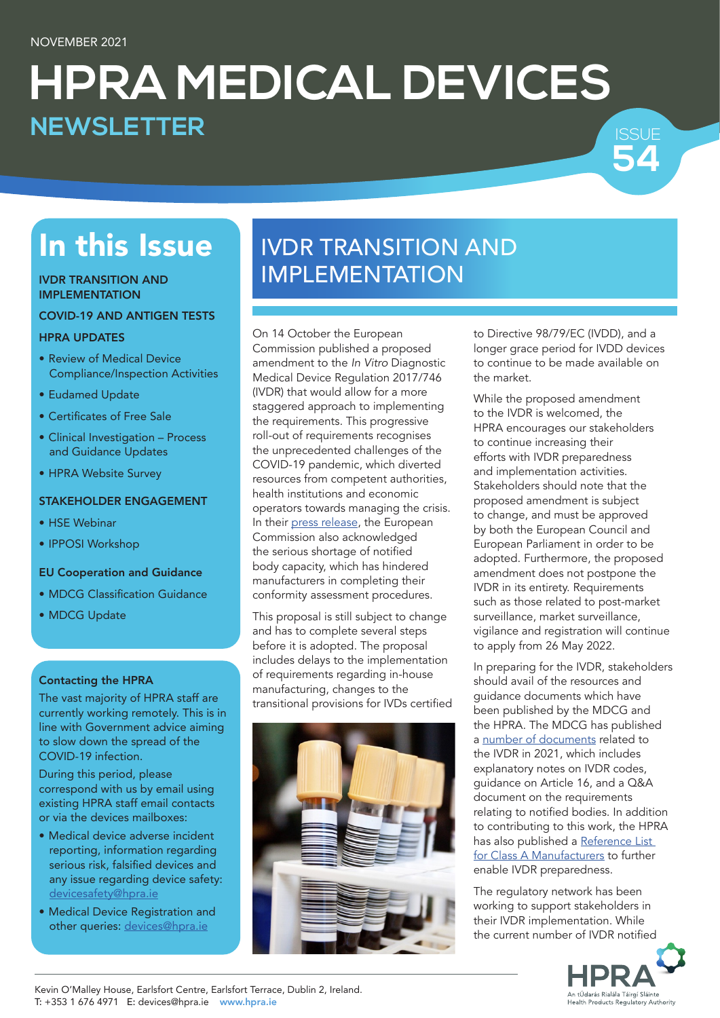# **HPRA MEDICAL DEVICES 54 NEWSLETTER**

# In this Issue

#### IVDR TRANSITION AND IMPLEMENTATION

#### COVID-19 AND ANTIGEN TESTS

### HPRA UPDATES

- Review of Medical Device Compliance/Inspection Activities
- Eudamed Update
- • Certificates of Free Sale
- Clinical Investigation Process and Guidance Updates
- HPRA Website Survey

### STAKEHOLDER ENGAGEMENT

- HSE Webinar
- IPPOSI Workshop

### EU Cooperation and Guidance

- MDCG Classification Guidance
- MDCG Update

### Contacting the HPRA

The vast majority of HPRA staff are currently working remotely. This is in line with Government advice aiming to slow down the spread of the COVID-19 infection.

During this period, please correspond with us by email using existing HPRA staff email contacts or via the devices mailboxes:

- Medical device adverse incident reporting, information regarding serious risk, falsified devices and any issue regarding device safety: [devicesafety@hpra.ie](mailto:devicesafety%40hpra.ie?subject=)
- Medical Device Registration and other queries: [devices@hpra.ie](mailto:devices%40hpra.ie?subject=)

# IVDR TRANSITION AND IMPLEMENTATION

On 14 October the European Commission published a proposed amendment to the *In Vitro* Diagnostic Medical Device Regulation 2017/746 (IVDR) that would allow for a more staggered approach to implementing the requirements. This progressive roll-out of requirements recognises the unprecedented challenges of the COVID-19 pandemic, which diverted resources from competent authorities, health institutions and economic operators towards managing the crisis. In their [press release,](https://ec.europa.eu/commission/presscorner/detail/en/ip_21_5209) the European Commission also acknowledged the serious shortage of notified body capacity, which has hindered manufacturers in completing their conformity assessment procedures.

This proposal is still subject to change and has to complete several steps before it is adopted. The proposal includes delays to the implementation of requirements regarding in-house manufacturing, changes to the transitional provisions for IVDs certified



to Directive 98/79/EC (IVDD), and a longer grace period for IVDD devices to continue to be made available on the market.

ISSUE

While the proposed amendment to the IVDR is welcomed, the HPRA encourages our stakeholders to continue increasing their efforts with IVDR preparedness and implementation activities. Stakeholders should note that the proposed amendment is subject to change, and must be approved by both the European Council and European Parliament in order to be adopted. Furthermore, the proposed amendment does not postpone the IVDR in its entirety. Requirements such as those related to post-market surveillance, market surveillance, vigilance and registration will continue to apply from 26 May 2022.

In preparing for the IVDR, stakeholders should avail of the resources and guidance documents which have been published by the MDCG and the HPRA. The MDCG has published a [number of documents](https://ec.europa.eu/health/md_sector/new_regulations/guidance_en) related to the IVDR in 2021, which includes explanatory notes on IVDR codes, guidance on Article 16, and a Q&A document on the requirements relating to notified bodies. In addition to contributing to this work, the HPRA has also published a [Reference List](https://www.hpra.ie/docs/default-source/default-document-library/reference-list-for-class-a-in-vitro-diagnostic-medical-device-manufacturers.pdf?sfvrsn=4)  [for Class A Manufacturers](https://www.hpra.ie/docs/default-source/default-document-library/reference-list-for-class-a-in-vitro-diagnostic-medical-device-manufacturers.pdf?sfvrsn=4) to further enable IVDR preparedness.

The regulatory network has been working to support stakeholders in their IVDR implementation. While the current number of IVDR notified



Kevin O'Malley House, Earlsfort Centre, Earlsfort Terrace, Dublin 2, Ireland. T: +353 1 676 4971 E: [devices@hpra.ie](mailto:devices%40hpra.ie?subject=) [www.hpra.ie](http://www.hpra.ie)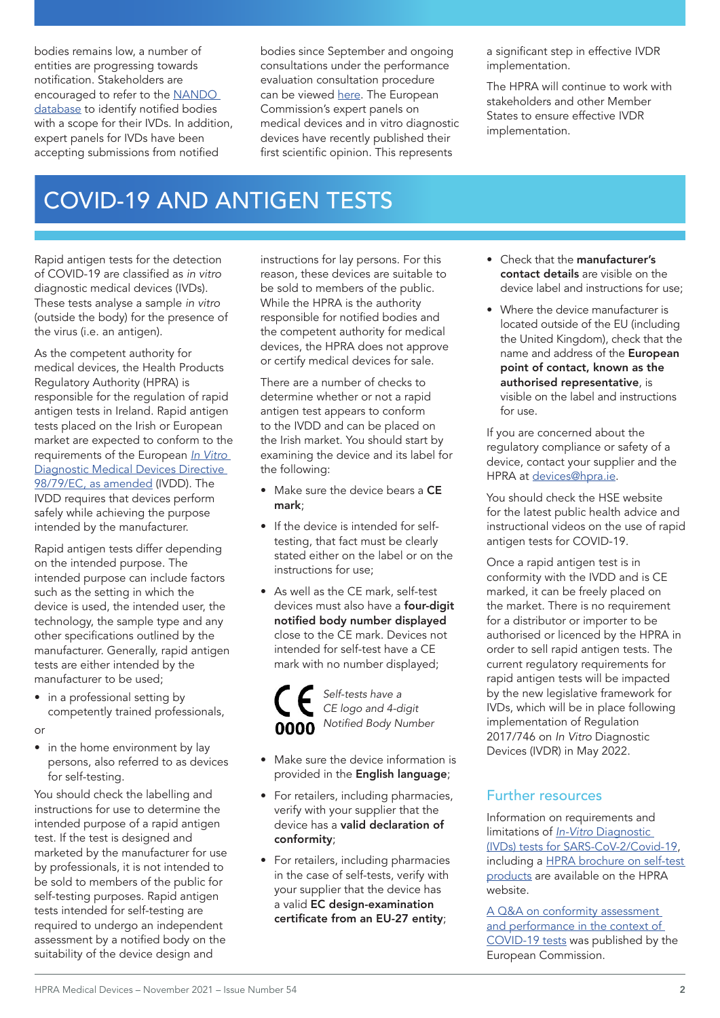bodies remains low, a number of entities are progressing towards notification. Stakeholders are encouraged to refer to the [NANDO](https://ec.europa.eu/growth/tools-databases/nando/index.cfm?fuseaction=directive.notifiedbody&dir_id=35)  [database](https://ec.europa.eu/growth/tools-databases/nando/index.cfm?fuseaction=directive.notifiedbody&dir_id=35) to identify notified bodies with a scope for their IVDs. In addition, expert panels for IVDs have been accepting submissions from notified

bodies since September and ongoing consultations under the performance evaluation consultation procedure can be viewed [here](https://ec.europa.eu/health/md_expertpanels/list-opinions-pecp_en#fragment1). The European Commission's expert panels on medical devices and in vitro diagnostic devices have recently published their first scientific opinion. This represents

a significant step in effective IVDR implementation.

The HPRA will continue to work with stakeholders and other Member States to ensure effective IVDR implementation.

### COVID-19 AND ANTIGEN TESTS

Rapid antigen tests for the detection of COVID-19 are classified as *in vitro* diagnostic medical devices (IVDs). These tests analyse a sample *in vitro* (outside the body) for the presence of the virus (i.e. an antigen).

As the competent authority for medical devices, the Health Products Regulatory Authority (HPRA) is responsible for the regulation of rapid antigen tests in Ireland. Rapid antigen tests placed on the Irish or European market are expected to conform to the requirements of the European *[In Vitro](https://eur-lex.europa.eu/LexUriServ/LexUriServ.do?uri=CONSLEG:1998L0079:20090807:EN:PDF)* [Diagnostic Medical Devices Directive](https://eur-lex.europa.eu/LexUriServ/LexUriServ.do?uri=CONSLEG:1998L0079:20090807:EN:PDF)  [98/79/EC, as amended](https://eur-lex.europa.eu/LexUriServ/LexUriServ.do?uri=CONSLEG:1998L0079:20090807:EN:PDF) (IVDD). The IVDD requires that devices perform safely while achieving the purpose intended by the manufacturer.

Rapid antigen tests differ depending on the intended purpose. The intended purpose can include factors such as the setting in which the device is used, the intended user, the technology, the sample type and any other specifications outlined by the manufacturer. Generally, rapid antigen tests are either intended by the manufacturer to be used;

- in a professional setting by competently trained professionals,
- or
- in the home environment by lay persons, also referred to as devices for self-testing.

You should check the labelling and instructions for use to determine the intended purpose of a rapid antigen test. If the test is designed and marketed by the manufacturer for use by professionals, it is not intended to be sold to members of the public for self-testing purposes. Rapid antigen tests intended for self-testing are required to undergo an independent assessment by a notified body on the suitability of the device design and

instructions for lay persons. For this reason, these devices are suitable to be sold to members of the public. While the HPRA is the authority responsible for notified bodies and the competent authority for medical devices, the HPRA does not approve or certify medical devices for sale.

There are a number of checks to determine whether or not a rapid antigen test appears to conform to the IVDD and can be placed on the Irish market. You should start by examining the device and its label for the following:

- Make sure the device bears a CE mark;
- If the device is intended for selftesting, that fact must be clearly stated either on the label or on the instructions for use;
- As well as the CE mark, self-test devices must also have a **four-digit** notified body number displayed close to the CE mark. Devices not intended for self-test have a CE mark with no number displayed;



- Make sure the device information is provided in the English language;
- For retailers, including pharmacies, verify with your supplier that the device has a valid declaration of conformity;
- For retailers, including pharmacies in the case of self-tests, verify with your supplier that the device has a valid EC design-examination certificate from an EU-27 entity;
- Check that the manufacturer's contact details are visible on the device label and instructions for use;
- Where the device manufacturer is located outside of the EU (including the United Kingdom), check that the name and address of the European point of contact, known as the authorised representative, is visible on the label and instructions for use.

If you are concerned about the regulatory compliance or safety of a device, contact your supplier and the HPRA at [devices@hpra.ie](mailto:devices%40hpra.ie?subject=).

You should check the HSE website for the latest public health advice and instructional videos on the use of rapid antigen tests for COVID-19.

Once a rapid antigen test is in conformity with the IVDD and is CE marked, it can be freely placed on the market. There is no requirement for a distributor or importer to be authorised or licenced by the HPRA in order to sell rapid antigen tests. The current regulatory requirements for rapid antigen tests will be impacted by the new legislative framework for IVDs, which will be in place following implementation of Regulation 2017/746 on *In Vitro* Diagnostic Devices (IVDR) in May 2022.

### Further resources

Information on requirements and limitations of *In-Vitro* [Diagnostic](http://www.hpra.ie/homepage/medical-devices/covid-19-updates/in-vitro-diagnostic-(ivd)-tests-for-covid-19)  [\(IVDs\) tests for SARS-CoV-2/Covid-19](http://www.hpra.ie/homepage/medical-devices/covid-19-updates/in-vitro-diagnostic-(ivd)-tests-for-covid-19), including a [HPRA brochure on self-test](https://www.hpra.ie/docs/default-source/publications-forms/information-leaflets/hpra-self-test-products-consumer-leaflet.pdf?sfvrsn=14)  [products](https://www.hpra.ie/docs/default-source/publications-forms/information-leaflets/hpra-self-test-products-consumer-leaflet.pdf?sfvrsn=14) are available on the HPRA website.

[A Q&A on conformity assessment](https://ec.europa.eu/health/sites/default/files/md_sector/docs/covid-19_ivd-qa_en.pdf)  [and performance in the context of](https://ec.europa.eu/health/sites/default/files/md_sector/docs/covid-19_ivd-qa_en.pdf)  [COVID-19 tests](https://ec.europa.eu/health/sites/default/files/md_sector/docs/covid-19_ivd-qa_en.pdf) was published by the European Commission.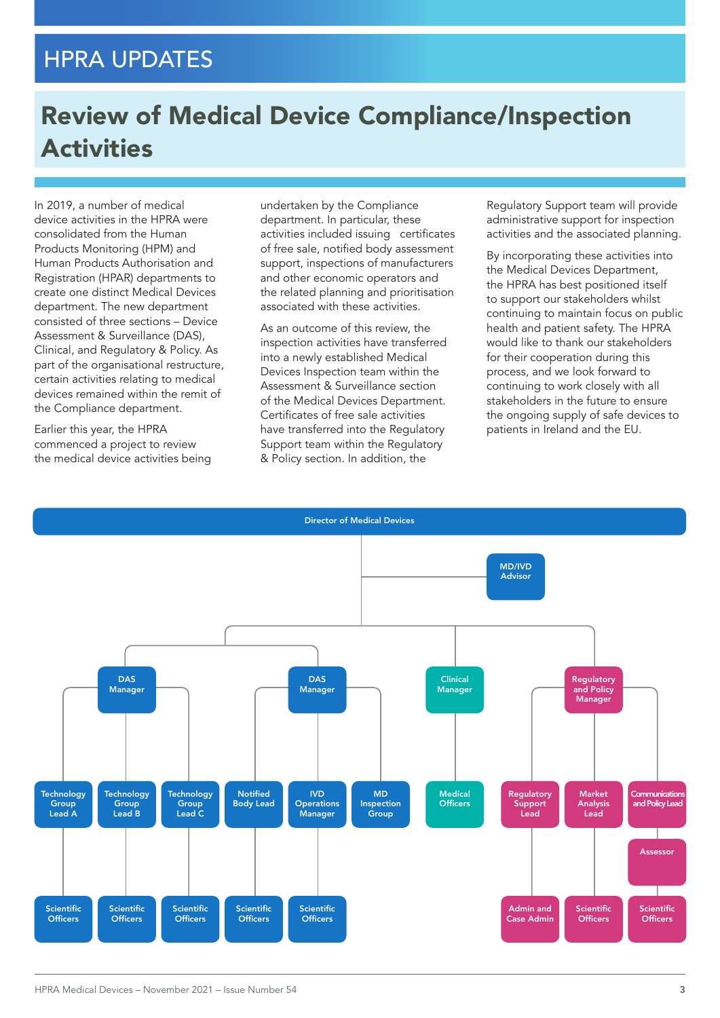### HPRA UPDATES

# Review of Medical Device Compliance/Inspection **Activities**

In 2019, a number of medical device activities in the HPRA were consolidated from the Human Products Monitoring (HPM) and Human Products Authorisation and Registration (HPAR) departments to create one distinct Medical Devices department. The new department consisted of three sections – Device Assessment & Surveillance (DAS), Clinical, and Regulatory & Policy. As part of the organisational restructure, certain activities relating to medical devices remained within the remit of the Compliance department.

Earlier this year, the HPRA commenced a project to review the medical device activities being

undertaken by the Compliance department. In particular, these activities included issuing certificates of free sale, notified body assessment support, inspections of manufacturers and other economic operators and the related planning and prioritisation associated with these activities.

As an outcome of this review, the inspection activities have transferred into a newly established Medical Devices Inspection team within the Assessment & Surveillance section of the Medical Devices Department. Certificates of free sale activities have transferred into the Regulatory Support team within the Regulatory & Policy section. In addition, the

Regulatory Support team will provide administrative support for inspection activities and the associated planning.

By incorporating these activities into the Medical Devices Department, the HPRA has best positioned itself to support our stakeholders whilst continuing to maintain focus on public health and patient safety. The HPRA would like to thank our stakeholders for their cooperation during this process, and we look forward to continuing to work closely with all stakeholders in the future to ensure the ongoing supply of safe devices to patients in Ireland and the EU.

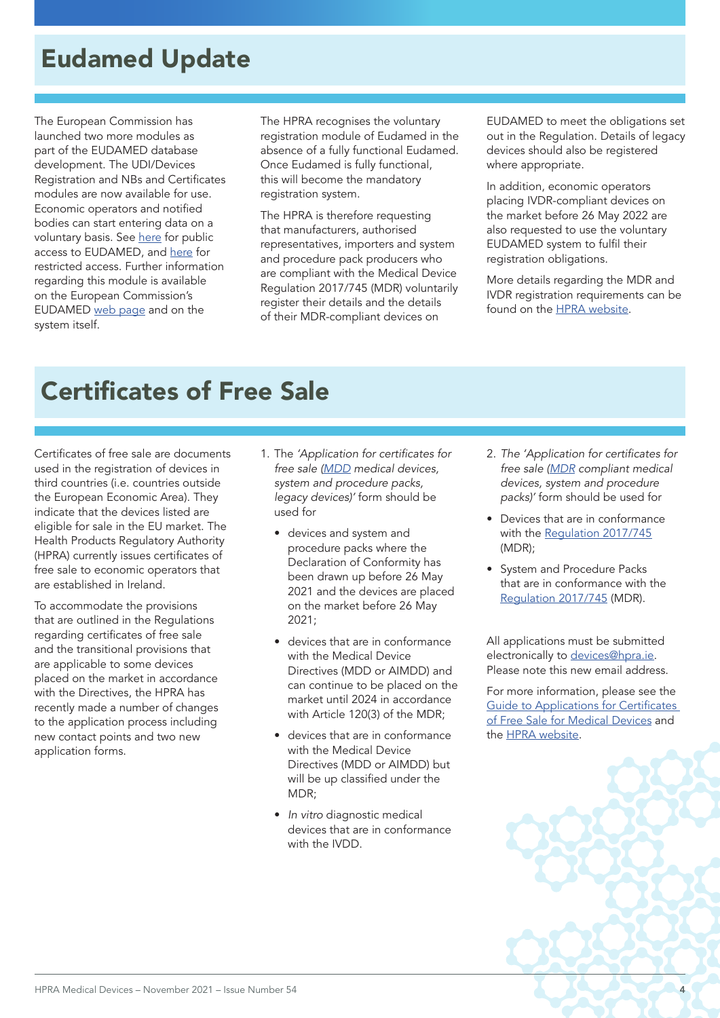# Eudamed Update

The European Commission has launched two more modules as part of the EUDAMED database development. The UDI/Devices Registration and NBs and Certificates modules are now available for use. Economic operators and notified bodies can start entering data on a voluntary basis. See [here](https://webgate.ec.europa.eu/eudamed/landing-page) for public access to EUDAMED, and [here](https://ec.europa.eu/tools/eudamed/) for restricted access. Further information regarding this module is available on the European Commission's EUDAMED [web page](https://ec.europa.eu/health/md_eudamed/overview_fr) and on the system itself.

The HPRA recognises the voluntary registration module of Eudamed in the absence of a fully functional Eudamed. Once Eudamed is fully functional, this will become the mandatory registration system.

The HPRA is therefore requesting that manufacturers, authorised representatives, importers and system and procedure pack producers who are compliant with the Medical Device Regulation 2017/745 (MDR) voluntarily register their details and the details of their MDR-compliant devices on

EUDAMED to meet the obligations set out in the Regulation. Details of legacy devices should also be registered where appropriate.

In addition, economic operators placing IVDR-compliant devices on the market before 26 May 2022 are also requested to use the voluntary EUDAMED system to fulfil their registration obligations.

More details regarding the MDR and IVDR registration requirements can be found on the [HPRA website.](http://www.hpra.ie/homepage/medical-devices/registration)

# Certificates of Free Sale

Certificates of free sale are documents used in the registration of devices in third countries (i.e. countries outside the European Economic Area). They indicate that the devices listed are eligible for sale in the EU market. The Health Products Regulatory Authority (HPRA) currently issues certificates of free sale to economic operators that are established in Ireland.

To accommodate the provisions that are outlined in the Regulations regarding certificates of free sale and the transitional provisions that are applicable to some devices placed on the market in accordance with the Directives, the HPRA has recently made a number of changes to the application process including new contact points and two new application forms.

- 1. The 'Application for certificates for *free sale [\(MDD](https://www.hpra.ie/homepage/about-us/publications-forms/forms-applications/item?id=3e59f925-9782-6eee-9b55-ff00008c97d0)* medical devices, system and procedure packs, legacy devices)' form should be used for
	- devices and system and procedure packs where the Declaration of Conformity has been drawn up before 26 May 2021 and the devices are placed on the market before 26 May 2021;
	- devices that are in conformance with the Medical Device Directives (MDD or AIMDD) and can continue to be placed on the market until 2024 in accordance with Article 120(3) of the MDR;
	- devices that are in conformance with the Medical Device Directives (MDD or AIMDD) but will be up classified under the MDR;
	- *In vitro* diagnostic medical devices that are in conformance with the IVDD.
- 2. The 'Application for certificates for *free sale ([MDR](https://www.hpra.ie/homepage/about-us/publications-forms/forms-applications/item?id=4da40f26-9782-6eee-9b55-ff00008c97d0)* compliant medical devices, system and procedure packs)' form should be used for
- Devices that are in conformance with the [Regulation 2017/745](https://eur-lex.europa.eu/legal-content/EN/TXT/PDF/?uri=CELEX:32017R0745&from=EN) (MDR);
- System and Procedure Packs that are in conformance with the [Regulation 2017/745](https://eur-lex.europa.eu/legal-content/EN/TXT/PDF/?uri=CELEX:32017R0745&from=EN) (MDR).

All applications must be submitted electronically to [devices@hpra.ie.](mailto:devices%40hpra.ie?subject=) Please note this new email address.

For more information, please see the [Guide to Applications for Certificates](http://www.hpra.ie/docs/default-source/publications-forms/guidance-documents/aut-g0026-guide-to-applications-for-certificates-of-free-sale-for-medical-devices-v8.pdf?sfvrsn=45)  [of Free Sale for Medical Devices](http://www.hpra.ie/docs/default-source/publications-forms/guidance-documents/aut-g0026-guide-to-applications-for-certificates-of-free-sale-for-medical-devices-v8.pdf?sfvrsn=45) and the [HPRA website.](https://www.hpra.ie/homepage/medical-devices/regulatory-information/export-certification---certificate-of-free-sale-for-medical-devices#:~:text=The%20HPRA%20currently%20issues%20certificates%20of%20free%20sale,for%20Certificates%20of%20Free%20Sale%20for%20Medical%20Devices.)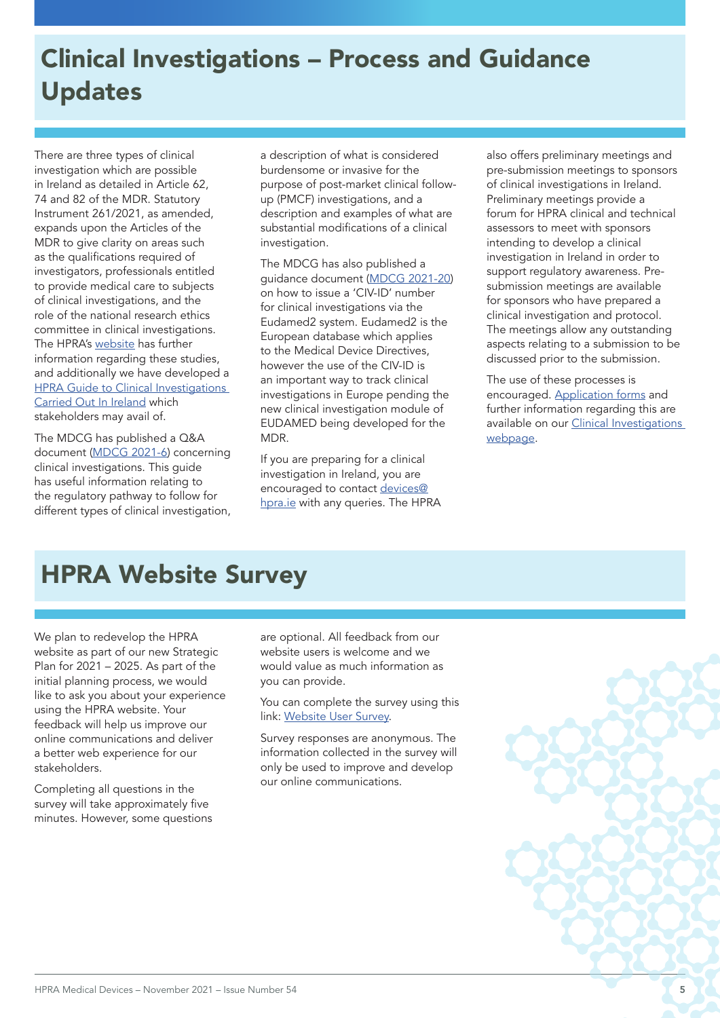# Clinical Investigations – Process and Guidance Updates

There are three types of clinical investigation which are possible in Ireland as detailed in Article 62, 74 and 82 of the MDR. Statutory Instrument 261/2021, as amended, expands upon the Articles of the MDR to give clarity on areas such as the qualifications required of investigators, professionals entitled to provide medical care to subjects of clinical investigations, and the role of the national research ethics committee in clinical investigations. The HPRA's [website](http://www.hpra.ie/homepage/medical-devices/regulatory-information/clinical-investigations) has further information regarding these studies, and additionally we have developed a **HPRA Guide to Clinical Investigations** [Carried Out In Ireland](https://www.hpra.ie/docs/default-source/publications-forms/guidance-documents/aut-g0095-guide-to-clinical-investigations-carried-out-in-ireland-v5.pdf?Status=Master&sfvrsn=22) which stakeholders may avail of.

The MDCG has published a Q&A document ([MDCG 2021-6](https://ec.europa.eu/health/sites/default/files/md_sector/docs/mdcg_2021-6_en.pdf)) concerning clinical investigations. This guide has useful information relating to the regulatory pathway to follow for different types of clinical investigation,

a description of what is considered burdensome or invasive for the purpose of post-market clinical followup (PMCF) investigations, and a description and examples of what are substantial modifications of a clinical investigation.

The MDCG has also published a guidance document ([MDCG 2021-20\)](https://ec.europa.eu/health/sites/default/files/md_sector/docs/mdcg_2021-20_en.pdf) on how to issue a 'CIV-ID' number for clinical investigations via the Eudamed2 system. Eudamed2 is the European database which applies to the Medical Device Directives, however the use of the CIV-ID is an important way to track clinical investigations in Europe pending the new clinical investigation module of EUDAMED being developed for the MDR.

If you are preparing for a clinical investigation in Ireland, you are encouraged to contact [devices@](mailto:devices%40hpra.ie?subject=) [hpra.ie](mailto:devices%40hpra.ie?subject=) with any queries. The HPRA

also offers preliminary meetings and pre-submission meetings to sponsors of clinical investigations in Ireland. Preliminary meetings provide a forum for HPRA clinical and technical assessors to meet with sponsors intending to develop a clinical investigation in Ireland in order to support regulatory awareness. Presubmission meetings are available for sponsors who have prepared a clinical investigation and protocol. The meetings allow any outstanding aspects relating to a submission to be discussed prior to the submission.

The use of these processes is encouraged. [Application forms](https://www.hpra.ie/homepage/about-us/publications-forms/forms-applications/item?id=a01d0f26-9782-6eee-9b55-ff00008c97d0&t=/docs/default-source/publications-forms/forms-applications/aut-f0831-request-for-clinical-investigation-pre-submission-meeting-v1) and further information regarding this are available on our [Clinical Investigations](http://www.hpra.ie/homepage/medical-devices/regulatory-information/clinical-investigations)  [webpage](http://www.hpra.ie/homepage/medical-devices/regulatory-information/clinical-investigations).

# HPRA Website Survey

We plan to redevelop the HPRA website as part of our new Strategic Plan for 2021 – 2025. As part of the initial planning process, we would like to ask you about your experience using the HPRA website. Your feedback will help us improve our online communications and deliver a better web experience for our stakeholders.

Completing all questions in the survey will take approximately five minutes. However, some questions are optional. All feedback from our website users is welcome and we would value as much information as you can provide.

You can complete the survey using this link: [Website User Survey](https://www.surveymonkey.com/r/HPRAwebsite).

Survey responses are anonymous. The information collected in the survey will only be used to improve and develop our online communications.

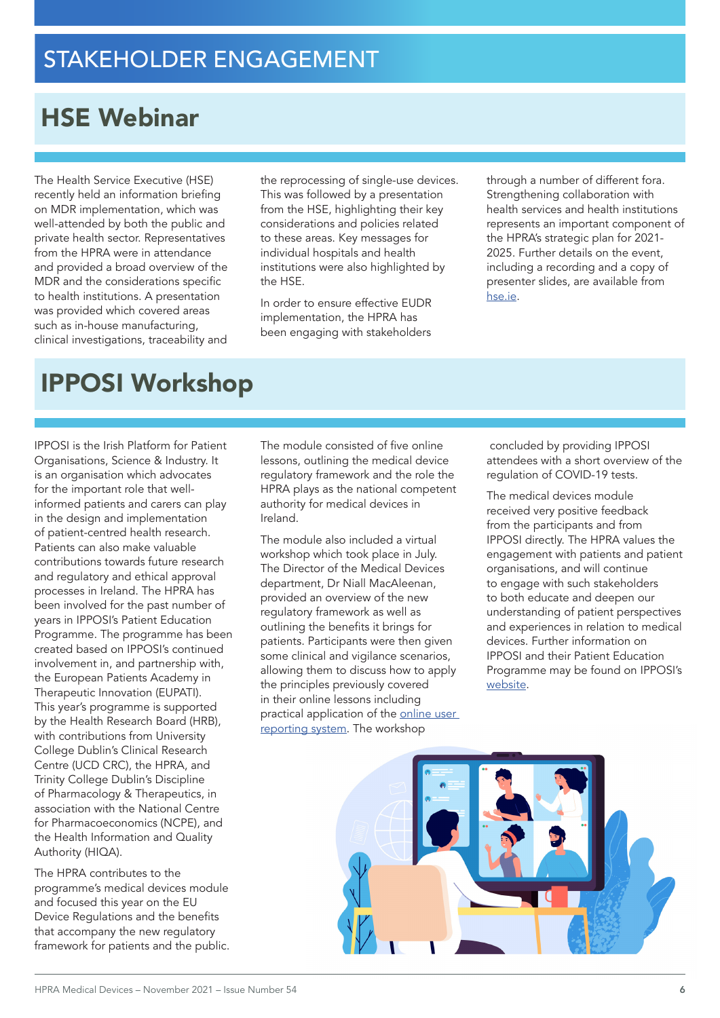# HSE Webinar

The Health Service Executive (HSE) recently held an information briefing on MDR implementation, which was well-attended by both the public and private health sector. Representatives from the HPRA were in attendance and provided a broad overview of the MDR and the considerations specific to health institutions. A presentation was provided which covered areas such as in-house manufacturing, clinical investigations, traceability and

the reprocessing of single-use devices. This was followed by a presentation from the HSE, highlighting their key considerations and policies related to these areas. Key messages for individual hospitals and health institutions were also highlighted by the HSE.

In order to ensure effective EUDR implementation, the HPRA has been engaging with stakeholders through a number of different fora. Strengthening collaboration with health services and health institutions represents an important component of the HPRA's strategic plan for 2021- 2025. Further details on the event, including a recording and a copy of presenter slides, are available from [hse.ie](https://www.hse.ie/eng/services/publications/pp/medical-device-regulations.html).

# IPPOSI Workshop

IPPOSI is the Irish Platform for Patient Organisations, Science & Industry. It is an organisation which advocates for the important role that wellinformed patients and carers can play in the design and implementation of patient-centred health research. Patients can also make valuable contributions towards future research and regulatory and ethical approval processes in Ireland. The HPRA has been involved for the past number of years in IPPOSI's Patient Education Programme. The programme has been created based on IPPOSI's continued involvement in, and partnership with, the European Patients Academy in Therapeutic Innovation (EUPATI). This year's programme is supported by the Health Research Board (HRB), with contributions from University College Dublin's Clinical Research Centre (UCD CRC), the HPRA, and Trinity College Dublin's Discipline of Pharmacology & Therapeutics, in association with the National Centre for Pharmacoeconomics (NCPE), and the Health Information and Quality Authority (HIQA).

The HPRA contributes to the programme's medical devices module and focused this year on the EU Device Regulations and the benefits that accompany the new regulatory framework for patients and the public.

The module consisted of five online lessons, outlining the medical device regulatory framework and the role the HPRA plays as the national competent authority for medical devices in Ireland.

The module also included a virtual workshop which took place in July. The Director of the Medical Devices department, Dr Niall MacAleenan, provided an overview of the new regulatory framework as well as outlining the benefits it brings for patients. Participants were then given some clinical and vigilance scenarios, allowing them to discuss how to apply the principles previously covered in their online lessons including practical application of the online user [reporting system.](https://www.hpra.ie/homepage/about-us/report-an-issue/mdiur) The workshop

 concluded by providing IPPOSI attendees with a short overview of the regulation of COVID-19 tests.

The medical devices module received very positive feedback from the participants and from IPPOSI directly. The HPRA values the engagement with patients and patient organisations, and will continue to engage with such stakeholders to both educate and deepen our understanding of patient perspectives and experiences in relation to medical devices. Further information on IPPOSI and their Patient Education Programme may be found on IPPOSI's [website](https://www.ipposi.ie/our-work/education/patient-education-programme/).

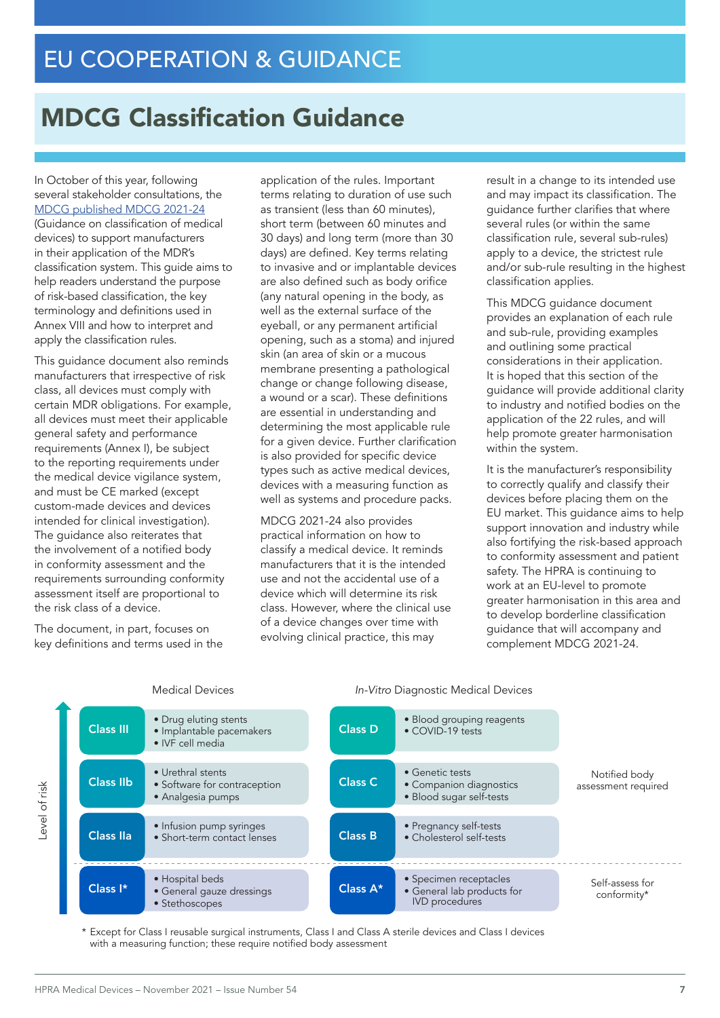# MDCG Classification Guidance

In October of this year, following several stakeholder consultations, the [MDCG published MDCG 2021-24](https://ec.europa.eu/health/sites/default/files/md_sector/docs/mdcg_2021-24_en.pdf) (Guidance on classification of medical devices) to support manufacturers in their application of the MDR's classification system. This guide aims to help readers understand the purpose of risk-based classification, the key terminology and definitions used in Annex VIII and how to interpret and apply the classification rules.

This guidance document also reminds manufacturers that irrespective of risk class, all devices must comply with certain MDR obligations. For example, all devices must meet their applicable general safety and performance requirements (Annex I), be subject to the reporting requirements under the medical device vigilance system, and must be CE marked (except custom-made devices and devices intended for clinical investigation). The guidance also reiterates that the involvement of a notified body in conformity assessment and the requirements surrounding conformity assessment itself are proportional to the risk class of a device.

The document, in part, focuses on key definitions and terms used in the

application of the rules. Important terms relating to duration of use such as transient (less than 60 minutes), short term (between 60 minutes and 30 days) and long term (more than 30 days) are defined. Key terms relating to invasive and or implantable devices are also defined such as body orifice (any natural opening in the body, as well as the external surface of the eyeball, or any permanent artificial opening, such as a stoma) and injured skin (an area of skin or a mucous membrane presenting a pathological change or change following disease, a wound or a scar). These definitions are essential in understanding and determining the most applicable rule for a given device. Further clarification is also provided for specific device types such as active medical devices, devices with a measuring function as well as systems and procedure packs.

MDCG 2021-24 also provides practical information on how to classify a medical device. It reminds manufacturers that it is the intended use and not the accidental use of a device which will determine its risk class. However, where the clinical use of a device changes over time with evolving clinical practice, this may

result in a change to its intended use and may impact its classification. The guidance further clarifies that where several rules (or within the same classification rule, several sub-rules) apply to a device, the strictest rule and/or sub-rule resulting in the highest classification applies.

This MDCG guidance document provides an explanation of each rule and sub-rule, providing examples and outlining some practical considerations in their application. It is hoped that this section of the guidance will provide additional clarity to industry and notified bodies on the application of the 22 rules, and will help promote greater harmonisation within the system.

It is the manufacturer's responsibility to correctly qualify and classify their devices before placing them on the EU market. This guidance aims to help support innovation and industry while also fortifying the risk-based approach to conformity assessment and patient safety. The HPRA is continuing to work at an EU-level to promote greater harmonisation in this area and to develop borderline classification quidance that will accompany and complement MDCG 2021-24.



\* Except for Class I reusable surgical instruments, Class I and Class A sterile devices and Class I devices with a measuring function; these require notified body assessment

### Medical Devices *In-Vitro* Diagnostic Medical Devices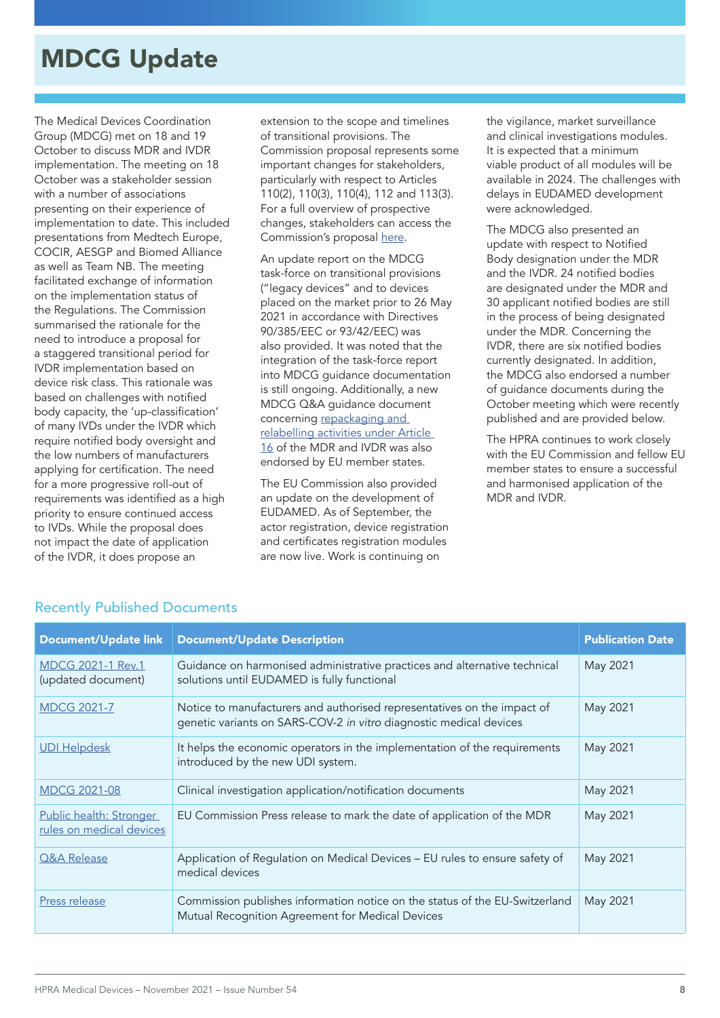# MDCG Update

The Medical Devices Coordination Group (MDCG) met on 18 and 19 October to discuss MDR and IVDR implementation. The meeting on 18 October was a stakeholder session with a number of associations presenting on their experience of implementation to date. This included presentations from Medtech Europe, COCIR, AESGP and Biomed Alliance as well as Team NB. The meeting facilitated exchange of information on the implementation status of the Regulations. The Commission summarised the rationale for the need to introduce a proposal for a staggered transitional period for IVDR implementation based on device risk class. This rationale was based on challenges with notified body capacity, the 'up-classification' of many IVDs under the IVDR which require notified body oversight and the low numbers of manufacturers applying for certification. The need for a more progressive roll-out of requirements was identified as a high priority to ensure continued access to IVDs. While the proposal does not impact the date of application of the IVDR, it does propose an

extension to the scope and timelines of transitional provisions. The Commission proposal represents some important changes for stakeholders, particularly with respect to Articles 110(2), 110(3), 110(4), 112 and 113(3). For a full overview of prospective changes, stakeholders can access the Commission's proposal [here](https://eur-lex.europa.eu/legal-content/EN/TXT/?uri=CELEX%3A52021PC0627&qid=1634552565285).

An update report on the MDCG task-force on transitional provisions ("legacy devices" and to devices placed on the market prior to 26 May 2021 in accordance with Directives 90/385/EEC or 93/42/EEC) was also provided. It was noted that the integration of the task-force report into MDCG guidance documentation is still ongoing. Additionally, a new MDCG Q&A guidance document concerning [repackaging and](https://ec.europa.eu/health/sites/default/files/md_sector/docs/mdcg_2021-23_en.pdf)  [relabelling activities under Article](https://ec.europa.eu/health/sites/default/files/md_sector/docs/mdcg_2021-23_en.pdf)  [16](https://ec.europa.eu/health/sites/default/files/md_sector/docs/mdcg_2021-23_en.pdf) of the MDR and IVDR was also endorsed by EU member states.

The EU Commission also provided an update on the development of EUDAMED. As of September, the actor registration, device registration and certificates registration modules are now live. Work is continuing on

the vigilance, market surveillance and clinical investigations modules. It is expected that a minimum viable product of all modules will be available in 2024. The challenges with delays in EUDAMED development were acknowledged.

The MDCG also presented an update with respect to Notified Body designation under the MDR and the IVDR. 24 notified bodies are designated under the MDR and 30 applicant notified bodies are still in the process of being designated under the MDR. Concerning the IVDR, there are six notified bodies currently designated. In addition, the MDCG also endorsed a number of guidance documents during the October meeting which were recently published and are provided below.

The HPRA continues to work closely with the EU Commission and fellow EU member states to ensure a successful and harmonised application of the MDR and IVDR.

| <b>Document/Update link</b>                         | <b>Document/Update Description</b>                                                                                                            | <b>Publication Date</b> |
|-----------------------------------------------------|-----------------------------------------------------------------------------------------------------------------------------------------------|-------------------------|
| <b>MDCG 2021-1 Rev.1</b><br>(updated document)      | Guidance on harmonised administrative practices and alternative technical<br>solutions until EUDAMED is fully functional                      | May 2021                |
| <b>MDCG 2021-7</b>                                  | Notice to manufacturers and authorised representatives on the impact of<br>genetic variants on SARS-COV-2 in vitro diagnostic medical devices | May 2021                |
| <b>UDI Helpdesk</b>                                 | It helps the economic operators in the implementation of the requirements<br>introduced by the new UDI system.                                | May 2021                |
| <b>MDCG 2021-08</b>                                 | Clinical investigation application/notification documents                                                                                     | May 2021                |
| Public health: Stronger<br>rules on medical devices | EU Commission Press release to mark the date of application of the MDR                                                                        | May 2021                |
| Q&A Release                                         | Application of Regulation on Medical Devices - EU rules to ensure safety of<br>medical devices                                                | May 2021                |
| Press release                                       | Commission publishes information notice on the status of the EU-Switzerland<br>Mutual Recognition Agreement for Medical Devices               | May 2021                |

### Recently Published Documents